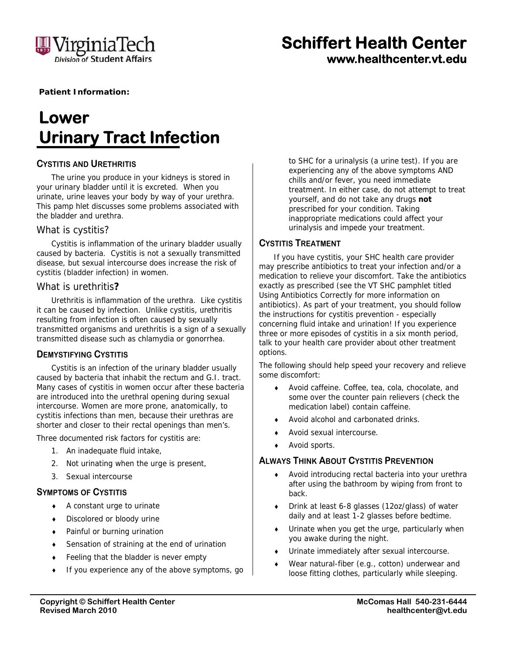

# **Schiffert Health Center www.healthcenter.vt.edu**

**Patient Information:** 

# **Lower Urinary Tract Infection**

# **CYSTITIS AND URETHRITIS**

The urine you produce in your kidneys is stored in your urinary bladder until it is excreted. When you urinate, urine leaves your body by way of your urethra. This pamp hlet discusses some problems associated with the bladder and urethra.

#### *What is cystitis?*

Cystitis is inflammation of the urinary bladder usually caused by bacteria. Cystitis is not a sexually transmitted disease, but sexual intercourse does increase the risk of cystitis (bladder infection) in women.

#### *What is urethritis?*

Urethritis is inflammation of the urethra. Like cystitis it can be caused by infection. Unlike cystitis, urethritis resulting from infection is often caused by sexually transmitted organisms and urethritis is a sign of a sexually transmitted disease such as chlamydia or gonorrhea.

#### **DEMYSTIFYING CYSTITIS**

Cystitis is an infection of the urinary bladder usually caused by bacteria that inhabit the rectum and G.I. tract. Many cases of cystitis in women occur after these bacteria are introduced into the urethral opening during sexual intercourse. Women are more prone, anatomically, to cystitis infections than men, because their urethras are shorter and closer to their rectal openings than men's.

Three documented risk factors for cystitis are:

- 1. An inadequate fluid intake,
- 2. Not urinating when the urge is present,
- 3. Sexual intercourse

### **SYMPTOMS OF CYSTITIS**

- A constant urge to urinate
- Discolored or bloody urine
- Painful or burning urination
- Sensation of straining at the end of urination
- ◆ Feeling that the bladder is never empty
- If you experience any of the above symptoms, go

to SHC for a urinalysis (a urine test). If you are experiencing any of the above symptoms AND chills and/or fever, you need immediate treatment. In either case, do not attempt to treat yourself, and do not take any drugs **not** prescribed for your condition. Taking inappropriate medications could affect your urinalysis and impede your treatment.

#### **CYSTITIS TREATMENT**

If you have cystitis, your SHC health care provider may prescribe antibiotics to treat your infection and/or a medication to relieve your discomfort. Take the antibiotics exactly as prescribed (see the VT SHC pamphlet titled *Using Antibiotics Correctly* for more information on antibiotics). As part of your treatment, you should follow the instructions for cystitis prevention - especially concerning fluid intake and urination! If you experience three or more episodes of cystitis in a six month period, talk to your health care provider about other treatment options.

The following should help speed your recovery and relieve some discomfort:

- Avoid caffeine. Coffee, tea, cola, chocolate, and some over the counter pain relievers (check the medication label) contain caffeine.
- Avoid alcohol and carbonated drinks.
- Avoid sexual intercourse.
- Avoid sports.

#### **ALWAYS THINK ABOUT CYSTITIS PREVENTION**

- Avoid introducing rectal bacteria into your urethra after using the bathroom by wiping from front to back.
- Drink at least 6-8 glasses (12oz/glass) of water daily and at least 1-2 glasses before bedtime.
- Urinate when you get the urge, particularly when you awake during the night.
- Urinate immediately after sexual intercourse.
- Wear natural-fiber (e.g., cotton) underwear and loose fitting clothes, particularly while sleeping.